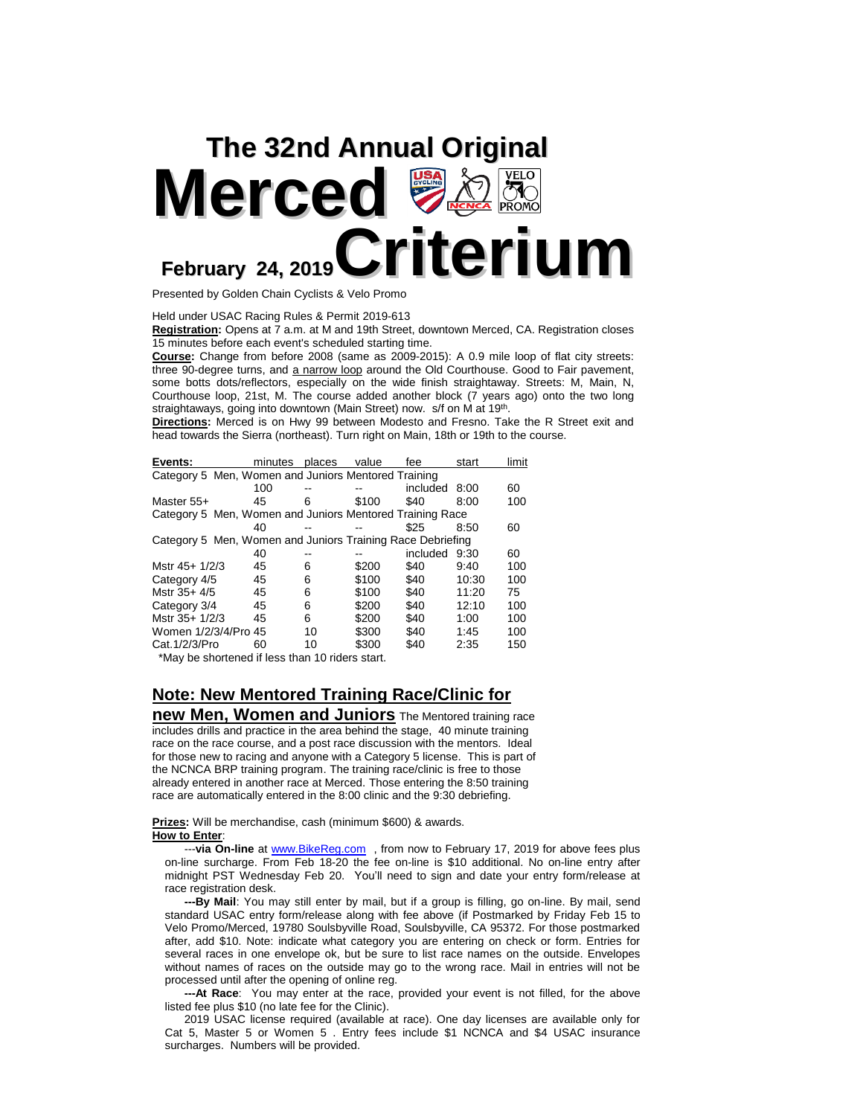

Presented by Golden Chain Cyclists & Velo Promo

Held under USAC Racing Rules & Permit 2019-613

**Registration:** Opens at 7 a.m. at M and 19th Street, downtown Merced, CA. Registration closes 15 minutes before each event's scheduled starting time.

**Course:** Change from before 2008 (same as 2009-2015): A 0.9 mile loop of flat city streets: three 90-degree turns, and a narrow loop around the Old Courthouse. Good to Fair pavement, some botts dots/reflectors, especially on the wide finish straightaway. Streets: M, Main, N, Courthouse loop, 21st, M. The course added another block (7 years ago) onto the two long straightaways, going into downtown (Main Street) now. s/f on M at 19<sup>th</sup>.

**Directions:** Merced is on Hwy 99 between Modesto and Fresno. Take the R Street exit and head towards the Sierra (northeast). Turn right on Main, 18th or 19th to the course.

| Events:                                                    | minutes | places | value | fee      | start | limit |
|------------------------------------------------------------|---------|--------|-------|----------|-------|-------|
| Category 5 Men, Women and Juniors Mentored Training        |         |        |       |          |       |       |
|                                                            | 100     |        |       | included | 8:00  | 60    |
| Master 55+                                                 | 45      | 6      | \$100 | \$40     | 8:00  | 100   |
| Category 5 Men, Women and Juniors Mentored Training Race   |         |        |       |          |       |       |
|                                                            | 40      |        |       | \$25     | 8:50  | 60    |
| Category 5 Men, Women and Juniors Training Race Debriefing |         |        |       |          |       |       |
|                                                            | 40      |        |       | included | 9:30  | 60    |
| Mstr 45+ 1/2/3                                             | 45      | 6      | \$200 | \$40     | 9:40  | 100   |
| Category 4/5                                               | 45      | 6      | \$100 | \$40     | 10:30 | 100   |
| Mstr $35+4/5$                                              | 45      | 6      | \$100 | \$40     | 11:20 | 75    |
| Category 3/4                                               | 45      | 6      | \$200 | \$40     | 12:10 | 100   |
| Mstr 35+ 1/2/3                                             | 45      | 6      | \$200 | \$40     | 1:00  | 100   |
| Women 1/2/3/4/Pro 45                                       |         | 10     | \$300 | \$40     | 1:45  | 100   |
| Cat. 1/2/3/Pro                                             | 60      | 10     | \$300 | \$40     | 2:35  | 150   |
| $*$ May he shortaned if less than 10 riders start          |         |        |       |          |       |       |

\*May be shortened if less than 10 riders start.

## **Note: New Mentored Training Race/Clinic for**

**new Men, Women and Juniors** The Mentored training race includes drills and practice in the area behind the stage, 40 minute training race on the race course, and a post race discussion with the mentors. Ideal for those new to racing and anyone with a Category 5 license. This is part of the NCNCA BRP training program. The training race/clinic is free to those already entered in another race at Merced. Those entering the 8:50 training race are automatically entered in the 8:00 clinic and the 9:30 debriefing.

## **Prizes:** Will be merchandise, cash (minimum \$600) & awards. **How to Enter**:

 ---**via On-line** at [www.BikeReg.com](http://www.bikereg.com/) , from now to February 17, 2019 for above fees plus on-line surcharge. From Feb 18-20 the fee on-line is \$10 additional. No on-line entry after midnight PST Wednesday Feb 20. You'll need to sign and date your entry form/release at race registration desk.

 **---By Mail**: You may still enter by mail, but if a group is filling, go on-line. By mail, send standard USAC entry form/release along with fee above (if Postmarked by Friday Feb 15 to Velo Promo/Merced, 19780 Soulsbyville Road, Soulsbyville, CA 95372. For those postmarked after, add \$10. Note: indicate what category you are entering on check or form. Entries for several races in one envelope ok, but be sure to list race names on the outside. Envelopes without names of races on the outside may go to the wrong race. Mail in entries will not be processed until after the opening of online reg.

 **---At Race**: You may enter at the race, provided your event is not filled, for the above listed fee plus \$10 (no late fee for the Clinic).

 2019 USAC license required (available at race). One day licenses are available only for Cat 5, Master 5 or Women 5 . Entry fees include \$1 NCNCA and \$4 USAC insurance surcharges. Numbers will be provided.